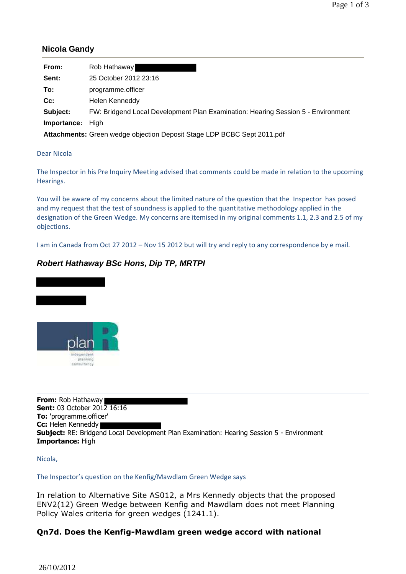#### **Nicola Gandy**

| From:       | Rob Hathaway                                                                     |
|-------------|----------------------------------------------------------------------------------|
| Sent:       | 25 October 2012 23:16                                                            |
| To:         | programme.officer                                                                |
| $Cc$ :      | Helen Kenneddy                                                                   |
| Subject:    | FW: Bridgend Local Development Plan Examination: Hearing Session 5 - Environment |
| Importance: | <b>High</b>                                                                      |
|             | Attachments: Green wedge objection Deposit Stage LDP BCBC Sept 2011.pdf          |

#### Dear Nicola

The Inspector in his Pre Inquiry Meeting advised that comments could be made in relation to the upcoming Hearings.

You will be aware of my concerns about the limited nature of the question that the Inspector has posed and my request that the test of soundness is applied to the quantitative methodology applied in the designation of the Green Wedge. My concerns are itemised in my original comments 1.1, 2.3 and 2.5 of my objections.

I am in Canada from Oct 27 2012 – Nov 15 2012 but will try and reply to any correspondence by e mail.

### **Robert Hathaway BSc Hons, Dip TP, MRTPI**



consultance

**From:** Rob Hathaway **Sent:** 03 October 2012 16:16 **To:** 'programme.officer' **Cc:** Helen Kenneddy **Subject:** RE: Bridgend Local Development Plan Examination: Hearing Session 5 - Environment **Importance:** High

Nicola,

The Inspector's question on the Kenfig/Mawdlam Green Wedge says

In relation to Alternative Site AS012, a Mrs Kennedy objects that the proposed ENV2(12) Green Wedge between Kenfig and Mawdlam does not meet Planning Policy Wales criteria for green wedges (1241.1).

#### **Qn7d. Does the Kenfig-Mawdlam green wedge accord with national**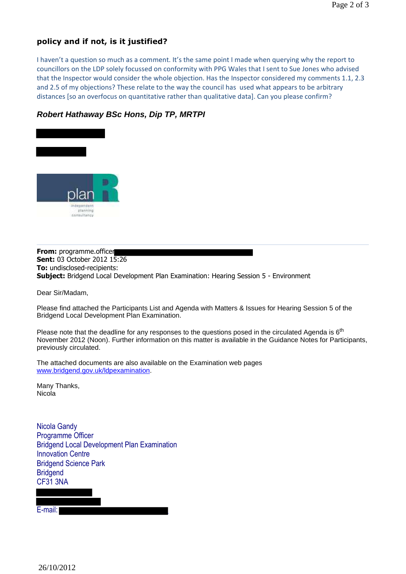### **policy and if not, is it justified?**

I haven't a question so much as a comment. It's the same point I made when querying why the report to councillors on the LDP solely focussed on conformity with PPG Wales that I sent to Sue Jones who advised that the Inspector would consider the whole objection. Has the Inspector considered my comments 1.1, 2.3 and 2.5 of my objections? These relate to the way the council has used what appears to be arbitrary distances [so an overfocus on quantitative rather than qualitative data]. Can you please confirm?

#### **Robert Hathaway BSc Hons, Dip TP, MRTPI**



**From:** programme.officer **Sent:** 03 October 2012 15:26 **To:** undisclosed-recipients: **Subject:** Bridgend Local Development Plan Examination: Hearing Session 5 - Environment

Dear Sir/Madam,

Please find attached the Participants List and Agenda with Matters & Issues for Hearing Session 5 of the Bridgend Local Development Plan Examination.

Please note that the deadline for any responses to the questions posed in the circulated Agenda is  $6<sup>th</sup>$ November 2012 (Noon). Further information on this matter is available in the Guidance Notes for Participants, previously circulated.

The attached documents are also available on the Examination web pages www.bridgend.gov.uk/ldpexamination.

Many Thanks, Nicola

Nicola Gandy Programme Officer Bridgend Local Development Plan Examination Innovation Centre Bridgend Science Park **Bridgend** CF31 3NA

E-mail: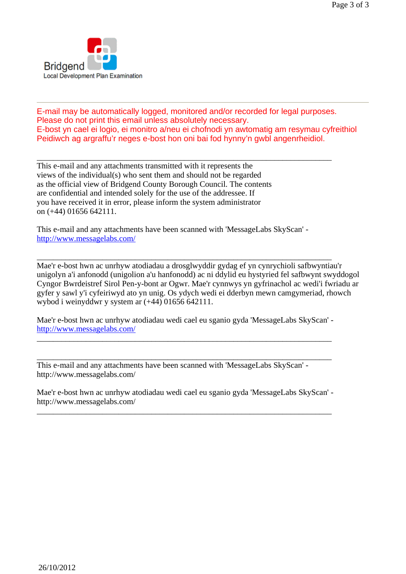Page 3 of 3



E-mail may be automatically logged, monitored and/or recorded for legal purposes. Please do not print this email unless absolutely necessary. E-bost yn cael ei logio, ei monitro a/neu ei chofnodi yn awtomatig am resymau cyfreithiol Peidiwch ag argraffu'r neges e-bost hon oni bai fod hynny'n gwbl angenrheidiol.

\_\_\_\_\_\_\_\_\_\_\_\_\_\_\_\_\_\_\_\_\_\_\_\_\_\_\_\_\_\_\_\_\_\_\_\_\_\_\_\_\_\_\_\_\_\_\_\_\_\_\_\_\_\_\_\_\_\_\_\_\_\_\_\_\_\_\_\_\_\_\_\_ This e-mail and any attachments transmitted with it represents the views of the individual(s) who sent them and should not be regarded as the official view of Bridgend County Borough Council. The contents are confidential and intended solely for the use of the addressee. If you have received it in error, please inform the system administrator on (+44) 01656 642111.

This e-mail and any attachments have been scanned with 'MessageLabs SkyScan' http://www.messagelabs.com/

\_\_\_\_\_\_\_\_\_\_\_\_\_\_\_\_\_\_\_\_\_\_\_\_\_\_\_\_\_\_\_\_\_\_\_\_\_\_\_\_\_\_\_\_\_\_\_\_\_\_\_\_\_\_\_\_\_\_\_\_\_\_\_\_\_\_\_\_\_\_\_\_ Mae'r e-bost hwn ac unrhyw atodiadau a drosglwyddir gydag ef yn cynrychioli safbwyntiau'r unigolyn a'i anfonodd (unigolion a'u hanfonodd) ac ni ddylid eu hystyried fel safbwynt swyddogol Cyngor Bwrdeistref Sirol Pen-y-bont ar Ogwr. Mae'r cynnwys yn gyfrinachol ac wedi'i fwriadu ar gyfer y sawl y'i cyfeiriwyd ato yn unig. Os ydych wedi ei dderbyn mewn camgymeriad, rhowch wybod i weinyddwr y system ar (+44) 01656 642111.

Mae'r e-bost hwn ac unrhyw atodiadau wedi cael eu sganio gyda 'MessageLabs SkyScan' http://www.messagelabs.com/

\_\_\_\_\_\_\_\_\_\_\_\_\_\_\_\_\_\_\_\_\_\_\_\_\_\_\_\_\_\_\_\_\_\_\_\_\_\_\_\_\_\_\_\_\_\_\_\_\_\_\_\_\_\_\_\_\_\_\_\_\_\_\_\_\_\_\_\_\_\_\_\_

\_\_\_\_\_\_\_\_\_\_\_\_\_\_\_\_\_\_\_\_\_\_\_\_\_\_\_\_\_\_\_\_\_\_\_\_\_\_\_\_\_\_\_\_\_\_\_\_\_\_\_\_\_\_\_\_\_\_\_\_\_\_\_\_\_\_\_\_\_\_\_\_

This e-mail and any attachments have been scanned with 'MessageLabs SkyScan' http://www.messagelabs.com/

Mae'r e-bost hwn ac unrhyw atodiadau wedi cael eu sganio gyda 'MessageLabs SkyScan' http://www.messagelabs.com/

\_\_\_\_\_\_\_\_\_\_\_\_\_\_\_\_\_\_\_\_\_\_\_\_\_\_\_\_\_\_\_\_\_\_\_\_\_\_\_\_\_\_\_\_\_\_\_\_\_\_\_\_\_\_\_\_\_\_\_\_\_\_\_\_\_\_\_\_\_\_\_\_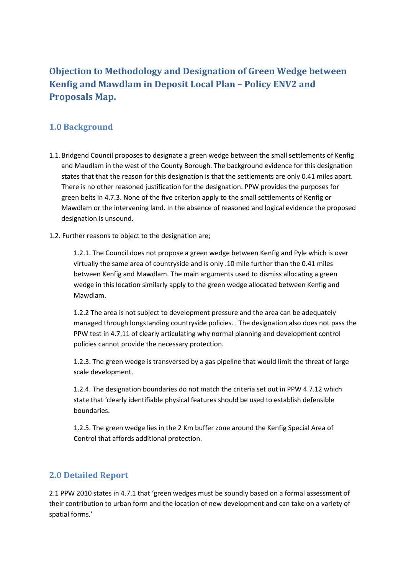# Objection to Methodology and Designation of Green Wedge between Kenfig and Mawdlam in Deposit Local Plan – Policy ENV2 and Proposals Map.

## 1.0 Background

- 1.1.Bridgend Council proposes to designate a green wedge between the small settlements of Kenfig and Maudlam in the west of the County Borough. The background evidence for this designation states that that the reason for this designation is that the settlements are only 0.41 miles apart. There is no other reasoned justification for the designation. PPW provides the purposes for green belts in 4.7.3. None of the five criterion apply to the small settlements of Kenfig or Mawdlam or the intervening land. In the absence of reasoned and logical evidence the proposed designation is unsound.
- 1.2. Further reasons to object to the designation are;

1.2.1. The Council does not propose a green wedge between Kenfig and Pyle which is over virtually the same area of countryside and is only .10 mile further than the 0.41 miles between Kenfig and Mawdlam. The main arguments used to dismiss allocating a green wedge in this location similarly apply to the green wedge allocated between Kenfig and Mawdlam.

1.2.2 The area is not subject to development pressure and the area can be adequately managed through longstanding countryside policies. . The designation also does not pass the PPW test in 4.7.11 of clearly articulating why normal planning and development control policies cannot provide the necessary protection.

1.2.3. The green wedge is transversed by a gas pipeline that would limit the threat of large scale development.

1.2.4. The designation boundaries do not match the criteria set out in PPW 4.7.12 which state that 'clearly identifiable physical features should be used to establish defensible boundaries.

1.2.5. The green wedge lies in the 2 Km buffer zone around the Kenfig Special Area of Control that affords additional protection.

## 2.0 Detailed Report

2.1 PPW 2010 states in 4.7.1 that 'green wedges must be soundly based on a formal assessment of their contribution to urban form and the location of new development and can take on a variety of spatial forms.'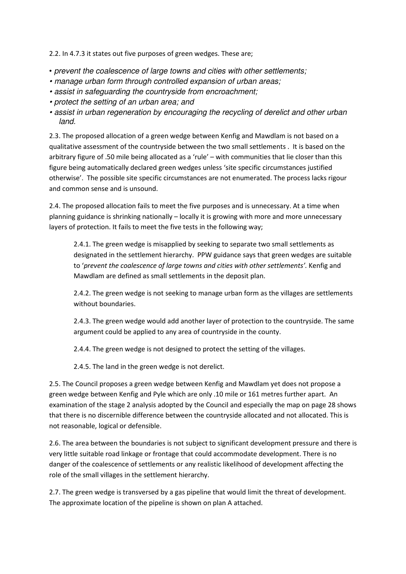2.2. In 4.7.3 it states out five purposes of green wedges. These are;

- prevent the coalescence of large towns and cities with other settlements;
- manage urban form through controlled expansion of urban areas;
- assist in safeguarding the countryside from encroachment;
- protect the setting of an urban area; and
- assist in urban regeneration by encouraging the recycling of derelict and other urban land.

2.3. The proposed allocation of a green wedge between Kenfig and Mawdlam is not based on a qualitative assessment of the countryside between the two small settlements . It is based on the arbitrary figure of .50 mile being allocated as a 'rule' – with communities that lie closer than this figure being automatically declared green wedges unless 'site specific circumstances justified otherwise'. The possible site specific circumstances are not enumerated. The process lacks rigour and common sense and is unsound.

2.4. The proposed allocation fails to meet the five purposes and is unnecessary. At a time when planning guidance is shrinking nationally – locally it is growing with more and more unnecessary layers of protection. It fails to meet the five tests in the following way;

2.4.1. The green wedge is misapplied by seeking to separate two small settlements as designated in the settlement hierarchy. PPW guidance says that green wedges are suitable to 'prevent the coalescence of large towns and cities with other settlements'. Kenfig and Mawdlam are defined as small settlements in the deposit plan.

2.4.2. The green wedge is not seeking to manage urban form as the villages are settlements without boundaries.

2.4.3. The green wedge would add another layer of protection to the countryside. The same argument could be applied to any area of countryside in the county.

2.4.4. The green wedge is not designed to protect the setting of the villages.

2.4.5. The land in the green wedge is not derelict.

2.5. The Council proposes a green wedge between Kenfig and Mawdlam yet does not propose a green wedge between Kenfig and Pyle which are only .10 mile or 161 metres further apart. An examination of the stage 2 analysis adopted by the Council and especially the map on page 28 shows that there is no discernible difference between the countryside allocated and not allocated. This is not reasonable, logical or defensible.

2.6. The area between the boundaries is not subject to significant development pressure and there is very little suitable road linkage or frontage that could accommodate development. There is no danger of the coalescence of settlements or any realistic likelihood of development affecting the role of the small villages in the settlement hierarchy.

2.7. The green wedge is transversed by a gas pipeline that would limit the threat of development. The approximate location of the pipeline is shown on plan A attached.